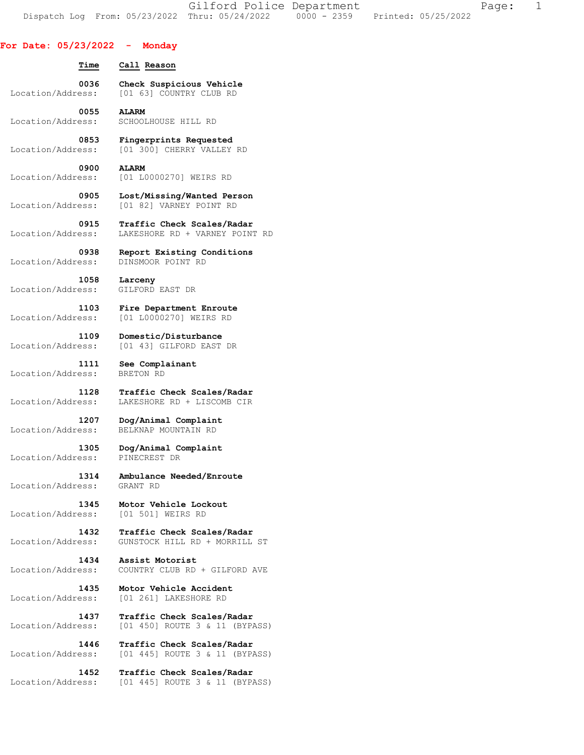Gilford Police Department Fage: 1 Dispatch Log From: 05/23/2022 Thru: 05/24/2022 0000 - 2359 Printed: 05/25/2022

## **For Date: 05/23/2022 - Monday**

 **Time Call Reason** 

 **0036 Check Suspicious Vehicle**  Location/Address: [01 63] COUNTRY CLUB RD

 **0055 ALARM**  Location/Address: SCHOOLHOUSE HILL RD

 **0853 Fingerprints Requested**  Location/Address: [01 300] CHERRY VALLEY RD

 **0900 ALARM**  Location/Address: [01 L0000270] WEIRS RD

 **0905 Lost/Missing/Wanted Person**  Location/Address: [01 82] VARNEY POINT RD

 **0915 Traffic Check Scales/Radar**  Location/Address: LAKESHORE RD + VARNEY POINT RD

 **0938 Report Existing Conditions**  Location/Address:

 **1058 Larceny**  Location/Address: GILFORD EAST DR

 **1103 Fire Department Enroute**  Location/Address: [01 L0000270] WEIRS RD

 **1109 Domestic/Disturbance**  Location/Address: [01 43] GILFORD EAST DR

 **1111 See Complainant**  Location/Address: BRETON RD

 **1128 Traffic Check Scales/Radar**  Location/Address: LAKESHORE RD + LISCOMB CIR

Location/Address:

 **1207 Dog/Animal Complaint**  Location/Address: BELKNAP MOUNTAIN RD

 **1305 Dog/Animal Complaint**  Location/Address: PINECREST DR

 **1314 Ambulance Needed/Enroute**  Location/Address: GRANT RD

1345 **Motor Vehicle Lockout**<br>ess: [01 501] WEIRS RD

 **1432 Traffic Check Scales/Radar**  Location/Address: GUNSTOCK HILL RD + MORRILL ST

 **1434 Assist Motorist**  Location/Address: COUNTRY CLUB RD + GILFORD AVE

 **1435 Motor Vehicle Accident**  Location/Address: [01 261] LAKESHORE RD

 **1437 Traffic Check Scales/Radar**  Location/Address: [01 450] ROUTE 3 & 11 (BYPASS)

 **1446 Traffic Check Scales/Radar**  Location/Address: [01 445] ROUTE 3 & 11 (BYPASS)

 **1452 Traffic Check Scales/Radar**  Location/Address: [01 445] ROUTE 3 & 11 (BYPASS)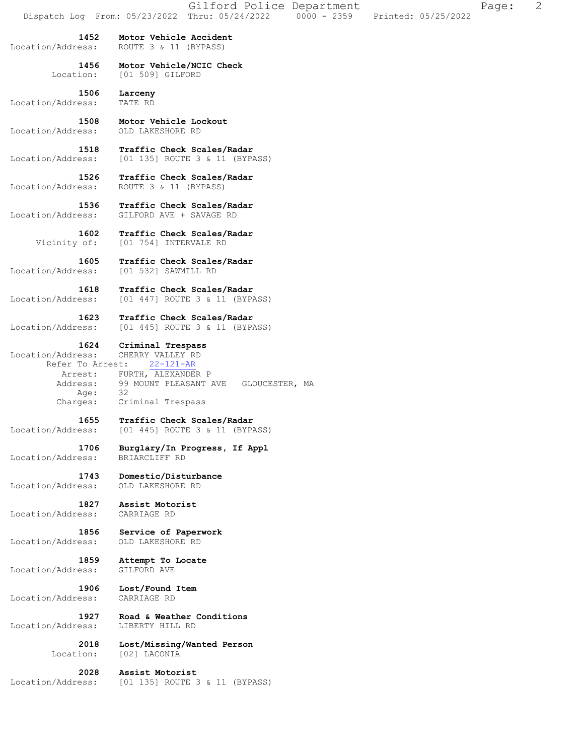|                                                                              | Gilford Police Department<br>Page:<br>Dispatch Log From: 05/23/2022 Thru: 05/24/2022 0000 - 2359<br>Printed: 05/25/2022      | $\overline{2}$ |
|------------------------------------------------------------------------------|------------------------------------------------------------------------------------------------------------------------------|----------------|
| 1452<br>Location/Address:                                                    | Motor Vehicle Accident<br>ROUTE 3 & 11 (BYPASS)                                                                              |                |
| 1456<br>Location:                                                            | Motor Vehicle/NCIC Check<br>[01 509] GILFORD                                                                                 |                |
| 1506<br>Location/Address:                                                    | Larceny<br>TATE RD                                                                                                           |                |
| 1508<br>Location/Address:                                                    | Motor Vehicle Lockout<br>OLD LAKESHORE RD                                                                                    |                |
| 1518<br>Location/Address:                                                    | Traffic Check Scales/Radar<br>[01 135] ROUTE 3 & 11 (BYPASS)                                                                 |                |
| 1526<br>Location/Address:                                                    | Traffic Check Scales/Radar<br>ROUTE 3 & 11 (BYPASS)                                                                          |                |
| 1536<br>Location/Address:                                                    | Traffic Check Scales/Radar<br>GILFORD AVE + SAVAGE RD                                                                        |                |
| 1602<br>Vicinity of:                                                         | Traffic Check Scales/Radar<br>[01 754] INTERVALE RD                                                                          |                |
| 1605<br>Location/Address:                                                    | Traffic Check Scales/Radar<br>[01 532] SAWMILL RD                                                                            |                |
| 1618<br>Location/Address:                                                    | Traffic Check Scales/Radar<br>[01 447] ROUTE 3 & 11 (BYPASS)                                                                 |                |
| 1623<br>Location/Address:                                                    | Traffic Check Scales/Radar<br>[01 445] ROUTE 3 & 11 (BYPASS)                                                                 |                |
| 1624<br>Location/Address:<br>Refer To Arrest:<br>Arrest:<br>Address:<br>Age: | Criminal Trespass<br>CHERRY VALLEY RD<br>$22 - 121 - AR$<br>FURTH, ALEXANDER P<br>99 MOUNT PLEASANT AVE GLOUCESTER, MA<br>32 |                |
| Charges:<br>1655                                                             | Criminal Trespass                                                                                                            |                |
| Location/Address:                                                            | Traffic Check Scales/Radar<br>[01 445] ROUTE 3 & 11 (BYPASS)                                                                 |                |
| 1706<br>Location/Address:                                                    | Burglary/In Progress, If Appl<br>BRIARCLIFF RD                                                                               |                |
| 1743<br>Location/Address:                                                    | Domestic/Disturbance<br>OLD LAKESHORE RD                                                                                     |                |
| 1827<br>Location/Address:                                                    | Assist Motorist<br>CARRIAGE RD                                                                                               |                |
| 1856<br>Location/Address:                                                    | Service of Paperwork<br>OLD LAKESHORE RD                                                                                     |                |
| 1859<br>Location/Address:                                                    | Attempt To Locate<br>GILFORD AVE                                                                                             |                |
| 1906<br>Location/Address:                                                    | Lost/Found Item<br>CARRIAGE RD                                                                                               |                |
| 1927<br>Location/Address:                                                    | Road & Weather Conditions<br>LIBERTY HILL RD                                                                                 |                |
| 2018<br>Location:                                                            | Lost/Missing/Wanted Person<br>[02] LACONIA                                                                                   |                |
| 2028<br>Location/Address:                                                    | Assist Motorist<br>[01 135] ROUTE 3 & 11 (BYPASS)                                                                            |                |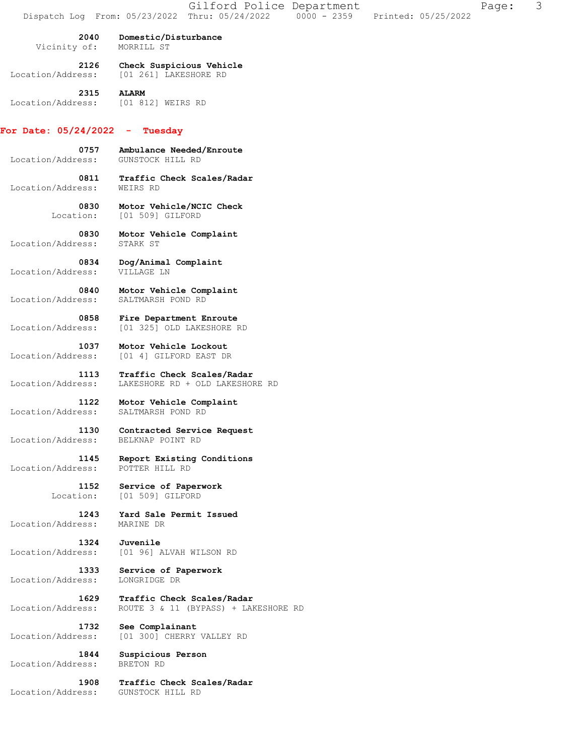|                           | Gilford Police Department<br>$0000 - 2359$<br>Dispatch Log From: 05/23/2022 Thru: 05/24/2022<br>Printed: 05/25/2022 | 3<br>Page: |
|---------------------------|---------------------------------------------------------------------------------------------------------------------|------------|
| 2040                      | Domestic/Disturbance                                                                                                |            |
| Vicinity of:              | MORRILL ST                                                                                                          |            |
| 2126<br>Location/Address: | Check Suspicious Vehicle<br>[01 261] LAKESHORE RD                                                                   |            |
| 2315<br>Location/Address: | <b>ALARM</b><br>[01 812] WEIRS RD                                                                                   |            |
| For Date: $05/24/2022 -$  | Tuesday                                                                                                             |            |
| 0757<br>Location/Address: | Ambulance Needed/Enroute<br>GUNSTOCK HILL RD                                                                        |            |
| 0811<br>Location/Address: | Traffic Check Scales/Radar<br>WEIRS RD                                                                              |            |
| 0830<br>Location:         | Motor Vehicle/NCIC Check<br>[01 509] GILFORD                                                                        |            |
| 0830<br>Location/Address: | Motor Vehicle Complaint<br>STARK ST                                                                                 |            |
| 0834<br>Location/Address: | Dog/Animal Complaint<br>VILLAGE LN                                                                                  |            |
| 0840<br>Location/Address: | Motor Vehicle Complaint<br>SALTMARSH POND RD                                                                        |            |
| 0858<br>Location/Address: | Fire Department Enroute<br>[01 325] OLD LAKESHORE RD                                                                |            |
| 1037<br>Location/Address: | Motor Vehicle Lockout<br>[01 4] GILFORD EAST DR                                                                     |            |
| 1113<br>Location/Address: | Traffic Check Scales/Radar<br>LAKESHORE RD + OLD LAKESHORE RD                                                       |            |
| 1122<br>Location/Address: | Motor Vehicle Complaint<br>SALTMARSH POND RD                                                                        |            |
| 1130<br>Location/Address: | Contracted Service Request<br>BELKNAP POINT RD                                                                      |            |
| 1145<br>Location/Address: | Report Existing Conditions<br>POTTER HILL RD                                                                        |            |
| 1152<br>Location:         | Service of Paperwork<br>[01 509] GILFORD                                                                            |            |
| 1243<br>Location/Address: | Yard Sale Permit Issued<br>MARINE DR                                                                                |            |
| 1324<br>Location/Address: | Juvenile<br>[01 96] ALVAH WILSON RD                                                                                 |            |
| 1333<br>Location/Address: | Service of Paperwork<br>LONGRIDGE DR                                                                                |            |
| 1629<br>Location/Address: | Traffic Check Scales/Radar<br>ROUTE 3 & 11 (BYPASS) + LAKESHORE RD                                                  |            |
| 1732<br>Location/Address: | See Complainant<br>[01 300] CHERRY VALLEY RD                                                                        |            |
| 1844<br>Location/Address: | Suspicious Person<br>BRETON RD                                                                                      |            |
| 1908<br>Location/Address: | Traffic Check Scales/Radar<br>GUNSTOCK HILL RD                                                                      |            |
|                           |                                                                                                                     |            |